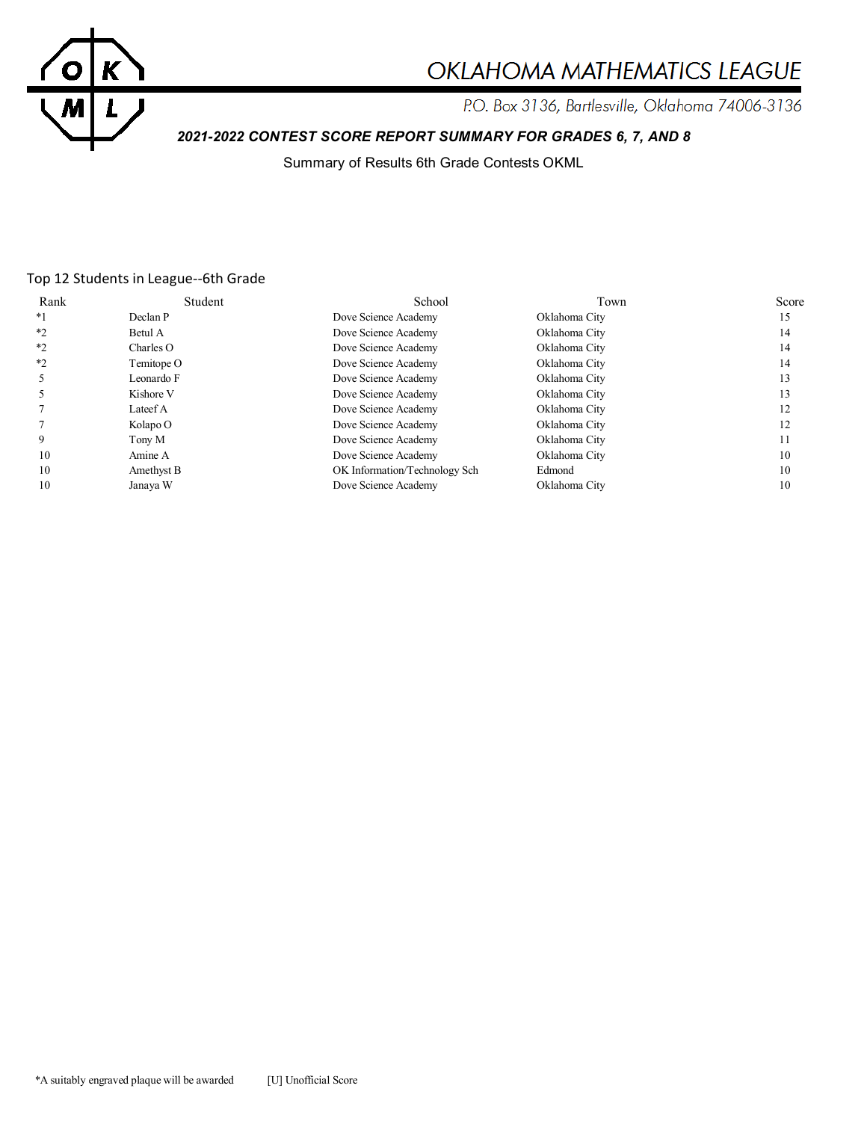

# OKLAHOMA MATHEMATICS LEAGUE

P.O. Box 3136, Bartlesville, Oklahoma 74006-3136

# *2021-2022 CONTEST SCORE REPORT SUMMARY FOR GRADES 6, 7, AND 8*

Summary of Results 6th Grade Contests OKML

## Top 12 Students in League--6th Grade

| Rank    | Student    | School                        | Town          | Score |
|---------|------------|-------------------------------|---------------|-------|
| $*1$    | Declan P   | Dove Science Academy          | Oklahoma City | 15    |
| $*_{2}$ | Betul A    | Dove Science Academy          | Oklahoma City | 14    |
| $*$     | Charles O  | Dove Science Academy          | Oklahoma City | 14    |
| $*_{2}$ | Temitope O | Dove Science Academy          | Oklahoma City | 14    |
|         | Leonardo F | Dove Science Academy          | Oklahoma City | 13    |
|         | Kishore V  | Dove Science Academy          | Oklahoma City | 13    |
|         | Lateef A   | Dove Science Academy          | Oklahoma City | 12    |
|         | Kolapo O   | Dove Science Academy          | Oklahoma City | 12    |
| 9       | Tony M     | Dove Science Academy          | Oklahoma City | 11    |
| 10      | Amine A    | Dove Science Academy          | Oklahoma City | 10    |
| 10      | Amethyst B | OK Information/Technology Sch | Edmond        | 10    |
| 10      | Janaya W   | Dove Science Academy          | Oklahoma City | 10    |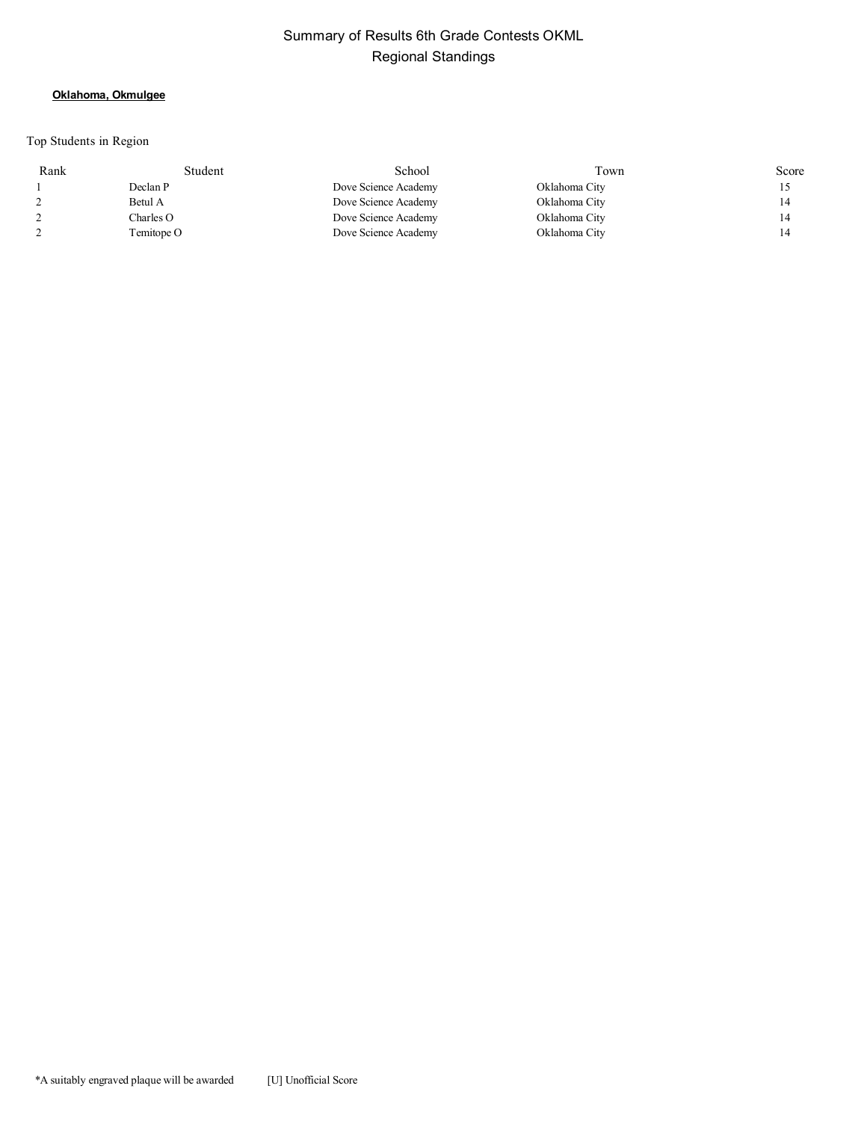# Summary of Results 6th Grade Contests OKML Regional Standings

#### **Oklahoma, Okmulgee**

Top Students in Region

| Rank | Student    | School               | Town          | Score |
|------|------------|----------------------|---------------|-------|
|      | Declan P   | Dove Science Academy | Oklahoma City |       |
|      | Betul A    | Dove Science Academy | Oklahoma City |       |
|      | Charles O  | Dove Science Academy | Oklahoma City |       |
|      | Temitope O | Dove Science Academy | Oklahoma City |       |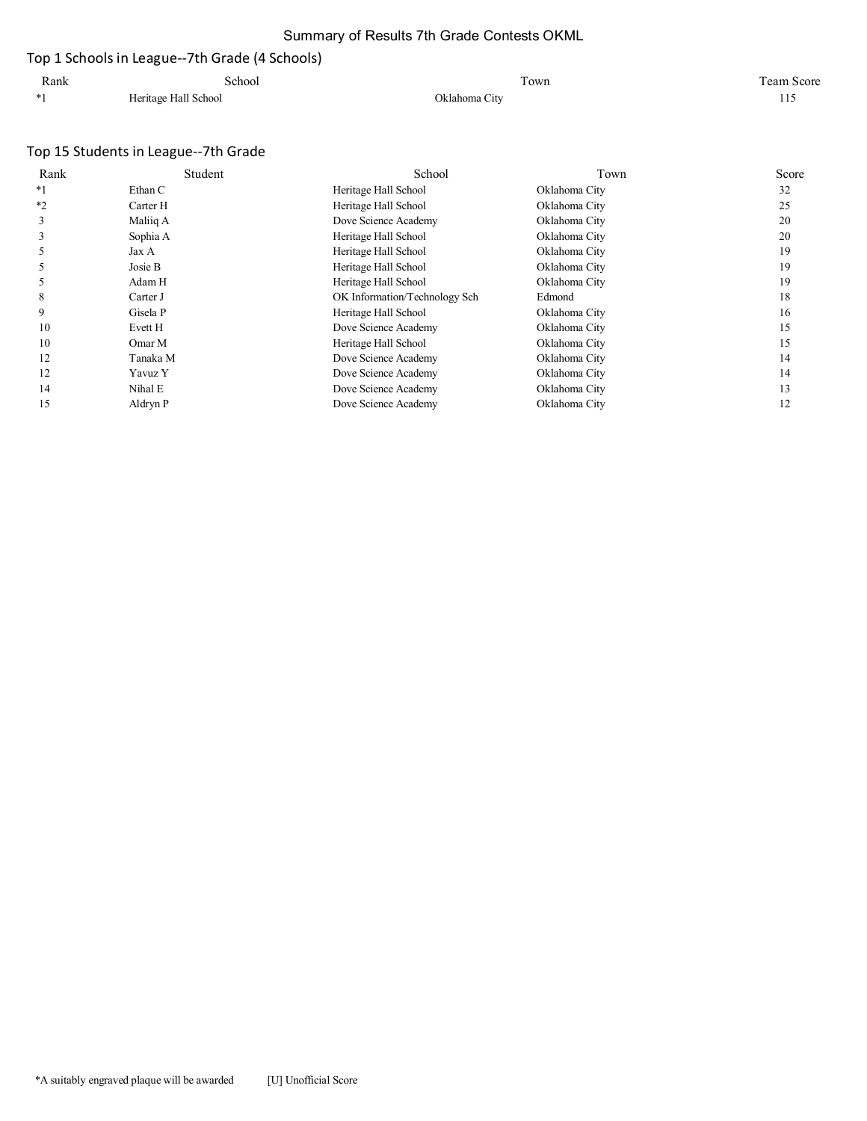## Summary of Results 7th Grade Contests OKML

## Top 1 Schools in League--7th Grade (4 Schools)

| Rank | School               | Fown          | Team Score |
|------|----------------------|---------------|------------|
| $*1$ | Heritage Hall School | Oklahoma City | 1 I J      |

## Top 15 Students in League--7th Grade

| Rank    | Student  | School                        | Town          | Score |
|---------|----------|-------------------------------|---------------|-------|
| $*_{1}$ | Ethan C  | Heritage Hall School          | Oklahoma City | 32    |
| $*_{2}$ | Carter H | Heritage Hall School          | Oklahoma City | 25    |
|         | Maliiq A | Dove Science Academy          | Oklahoma City | 20    |
|         | Sophia A | Heritage Hall School          | Oklahoma City | 20    |
|         | Jax A    | Heritage Hall School          | Oklahoma City | 19    |
|         | Josie B  | Heritage Hall School          | Oklahoma City | 19    |
|         | Adam H   | Heritage Hall School          | Oklahoma City | 19    |
| 8       | Carter J | OK Information/Technology Sch | Edmond        | 18    |
| 9       | Gisela P | Heritage Hall School          | Oklahoma City | 16    |
| 10      | Evett H  | Dove Science Academy          | Oklahoma City | 15    |
| 10      | Omar M   | Heritage Hall School          | Oklahoma City | 15    |
| 12      | Tanaka M | Dove Science Academy          | Oklahoma City | 14    |
| 12      | Yavuz Y  | Dove Science Academy          | Oklahoma City | 14    |
| 14      | Nihal E  | Dove Science Academy          | Oklahoma City | 13    |
| 15      | Aldryn P | Dove Science Academy          | Oklahoma City | 12    |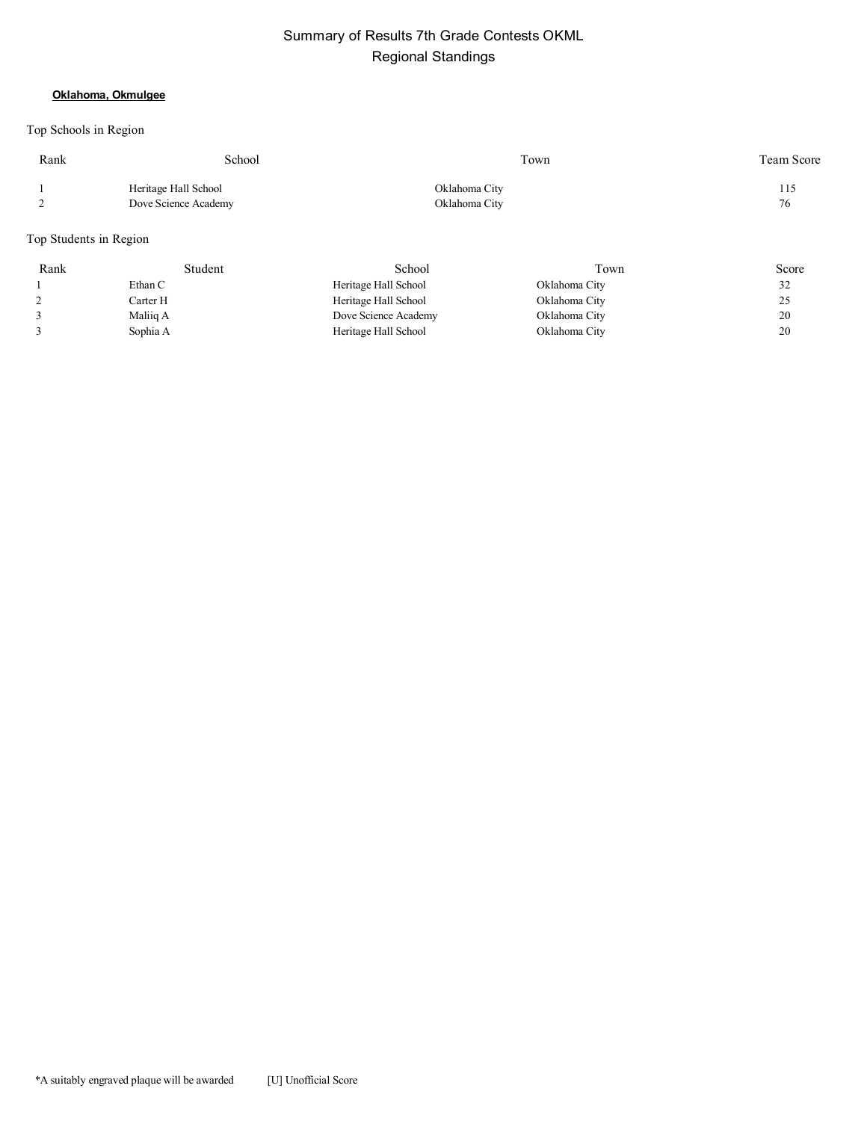## Summary of Results 7th Grade Contests OKML Regional Standings

#### **Oklahoma, Okmulgee**

## Top Schools in Region

| Rank | School               | Town          | <b>Team Score</b> |
|------|----------------------|---------------|-------------------|
|      | Heritage Hall School | Oklahoma City | 115               |
|      | Dove Science Academy | Oklahoma City | 76                |

## Top Students in Region

| Rank | Student  | School               | Town          | Score |
|------|----------|----------------------|---------------|-------|
|      | Ethan C  | Heritage Hall School | Oklahoma City | 32    |
|      | Carter H | Heritage Hall School | Oklahoma City | 25    |
|      | Maliiq A | Dove Science Academy | Oklahoma City | 20    |
|      | Sophia A | Heritage Hall School | Oklahoma City | 20    |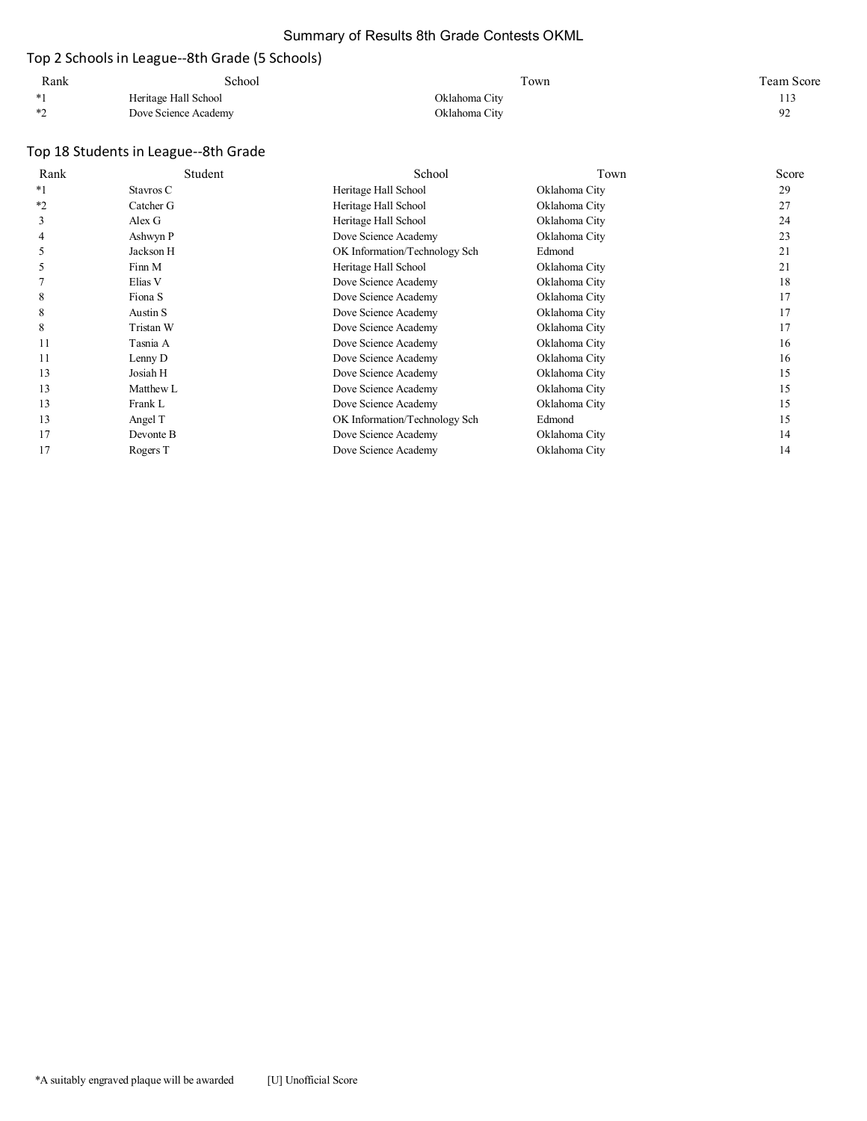## Summary of Results 8th Grade Contests OKML

## Top 2 Schools in League--8th Grade (5 Schools)

| Rank | School               | ľown          | Team Score |
|------|----------------------|---------------|------------|
| *    | Heritage Hall School | Oklahoma Citv |            |
| ∗∩   | Dove Science Academy | Oklahoma Citv |            |

## Top 18 Students in League--8th Grade

| Rank    | Student   | School                        | Town          | Score |
|---------|-----------|-------------------------------|---------------|-------|
| $*1$    | Stavros C | Heritage Hall School          | Oklahoma City | 29    |
| $*_{2}$ | Catcher G | Heritage Hall School          | Oklahoma City | 27    |
| 3       | Alex G    | Heritage Hall School          | Oklahoma City | 24    |
|         | Ashwyn P  | Dove Science Academy          | Oklahoma City | 23    |
|         | Jackson H | OK Information/Technology Sch | Edmond        | 21    |
|         | Finn M    | Heritage Hall School          | Oklahoma City | 21    |
|         | Elias V   | Dove Science Academy          | Oklahoma City | 18    |
| 8       | Fiona S   | Dove Science Academy          | Oklahoma City | 17    |
| 8       | Austin S  | Dove Science Academy          | Oklahoma City | 17    |
| 8       | Tristan W | Dove Science Academy          | Oklahoma City | 17    |
| 11      | Tasnia A  | Dove Science Academy          | Oklahoma City | 16    |
| 11      | Lenny D   | Dove Science Academy          | Oklahoma City | 16    |
| 13      | Josiah H  | Dove Science Academy          | Oklahoma City | 15    |
| 13      | Matthew L | Dove Science Academy          | Oklahoma City | 15    |
| 13      | Frank L   | Dove Science Academy          | Oklahoma City | 15    |
| 13      | Angel T   | OK Information/Technology Sch | Edmond        | 15    |
| 17      | Devonte B | Dove Science Academy          | Oklahoma City | 14    |
|         | Rogers T  | Dove Science Academy          | Oklahoma City | 14    |